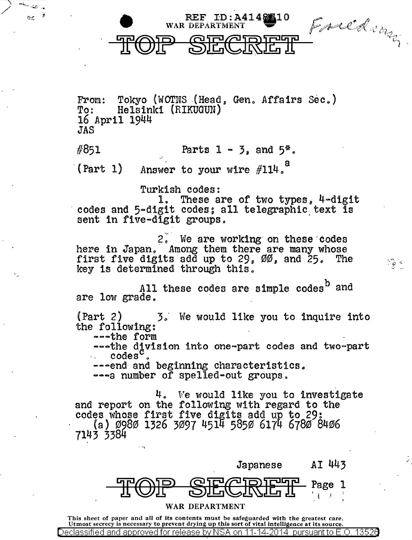

/

းမွှဲ ရ

From: Tokyo (WOTNS (Head, Gen. Affairs Sec.)<br>To: Helsinki (RIKUGUN) To: Helsinki (RIKUGUN)<br>16 April 1944 JAS

WAR DEPARTMENT

المستعر

#851 Parts  $1 - 3$ , and  $5^*$ .

 $(Part 1)$ Answer to your wire  $#114<sup>a</sup>$ 

Turkish codes:<br>1. These are of two types, 4-digit codes and 5-digit codes; all telegraphic text is sent in five-digit groups.

2. We are working on these codes here in Japan. Among them there are many whose first five digits add up to  $29,~00,$  and  $25$ . The key is determined through this.

All these codes are simple codes<sup>b</sup> and are low grade.

 $(Part 2)$  3. We would like you to inquire into the following:

---the form --sthe d!vision into one-part codes and two-part . . codes o

--- end and beginning characteristics.

 $\rightarrow$ --a number of spelled-out groups.

 $4.$  We would like you to investigate and report on the following with regard to the codes whose first five digits add up to 29: · (a) 0980 1326 3097 4514 5850 6174 6780 8406 7143 3384



This sheet of paper and all of its contents must be safeguarded with the greatest care. Utmost secrecy is necessary to prevent drying up this sort of vital intelligence at its source. Declassified and approved for release by NSA on 11-14-2014 pursuant to E .0. 1352a